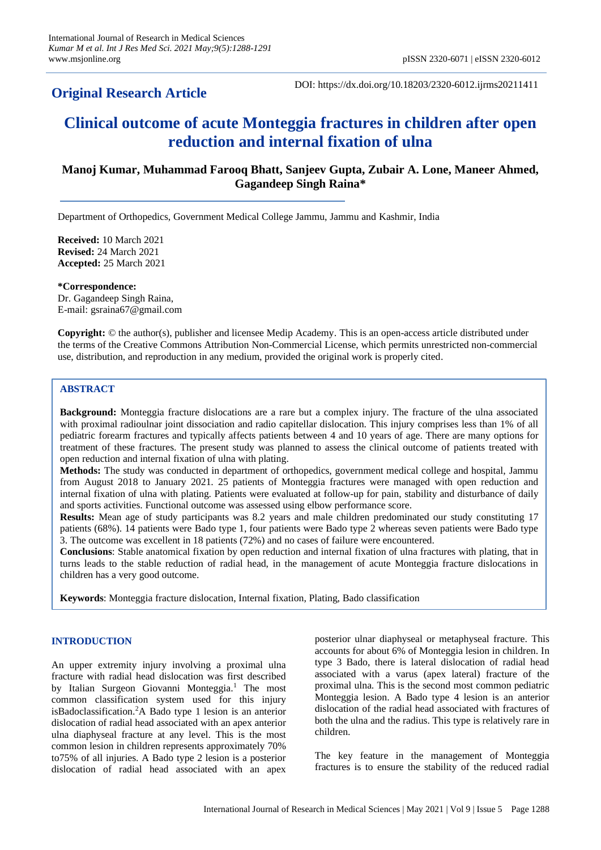## **Original Research Article**

DOI: https://dx.doi.org/10.18203/2320-6012.ijrms20211411

# **Clinical outcome of acute Monteggia fractures in children after open reduction and internal fixation of ulna**

## **Manoj Kumar, Muhammad Farooq Bhatt, Sanjeev Gupta, Zubair A. Lone, Maneer Ahmed, Gagandeep Singh Raina\***

Department of Orthopedics, Government Medical College Jammu, Jammu and Kashmir, India

**Received:** 10 March 2021 **Revised:** 24 March 2021 **Accepted:** 25 March 2021

**\*Correspondence:** Dr. Gagandeep Singh Raina, E-mail: gsraina67@gmail.com

**Copyright:** © the author(s), publisher and licensee Medip Academy. This is an open-access article distributed under the terms of the Creative Commons Attribution Non-Commercial License, which permits unrestricted non-commercial use, distribution, and reproduction in any medium, provided the original work is properly cited.

## **ABSTRACT**

**Background:** Monteggia fracture dislocations are a rare but a complex injury. The fracture of the ulna associated with proximal radioulnar joint dissociation and radio capitellar dislocation. This injury comprises less than 1% of all pediatric forearm fractures and typically affects patients between 4 and 10 years of age. There are many options for treatment of these fractures. The present study was planned to assess the clinical outcome of patients treated with open reduction and internal fixation of ulna with plating.

**Methods:** The study was conducted in department of orthopedics, government medical college and hospital, Jammu from August 2018 to January 2021. 25 patients of Monteggia fractures were managed with open reduction and internal fixation of ulna with plating. Patients were evaluated at follow-up for pain, stability and disturbance of daily and sports activities. Functional outcome was assessed using elbow performance score.

**Results:** Mean age of study participants was 8.2 years and male children predominated our study constituting 17 patients (68%). 14 patients were Bado type 1, four patients were Bado type 2 whereas seven patients were Bado type 3. The outcome was excellent in 18 patients (72%) and no cases of failure were encountered.

**Conclusions**: Stable anatomical fixation by open reduction and internal fixation of ulna fractures with plating, that in turns leads to the stable reduction of radial head, in the management of acute Monteggia fracture dislocations in children has a very good outcome.

**Keywords**: Monteggia fracture dislocation, Internal fixation, Plating, Bado classification

## **INTRODUCTION**

An upper extremity injury involving a proximal ulna fracture with radial head dislocation was first described by Italian Surgeon Giovanni Monteggia.<sup>1</sup> The most common classification system used for this injury isBadoclassification.<sup>2</sup>A Bado type 1 lesion is an anterior dislocation of radial head associated with an apex anterior ulna diaphyseal fracture at any level. This is the most common lesion in children represents approximately 70% to75% of all injuries. A Bado type 2 lesion is a posterior dislocation of radial head associated with an apex posterior ulnar diaphyseal or metaphyseal fracture. This accounts for about 6% of Monteggia lesion in children. In type 3 Bado, there is lateral dislocation of radial head associated with a varus (apex lateral) fracture of the proximal ulna. This is the second most common pediatric Monteggia lesion. A Bado type 4 lesion is an anterior dislocation of the radial head associated with fractures of both the ulna and the radius. This type is relatively rare in children.

The key feature in the management of Monteggia fractures is to ensure the stability of the reduced radial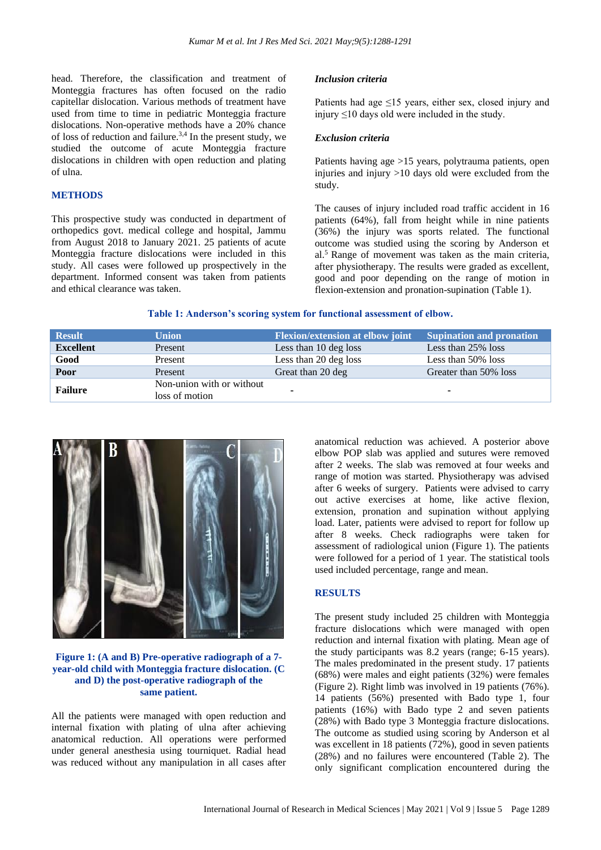head. Therefore, the classification and treatment of Monteggia fractures has often focused on the radio capitellar dislocation. Various methods of treatment have used from time to time in pediatric Monteggia fracture dislocations. Non-operative methods have a 20% chance of loss of reduction and failure.<sup>3,4</sup> In the present study, we studied the outcome of acute Monteggia fracture dislocations in children with open reduction and plating of ulna.

## **METHODS**

This prospective study was conducted in department of orthopedics govt. medical college and hospital, Jammu from August 2018 to January 2021. 25 patients of acute Monteggia fracture dislocations were included in this study. All cases were followed up prospectively in the department. Informed consent was taken from patients and ethical clearance was taken.

### *Inclusion criteria*

Patients had age ≤15 years, either sex, closed injury and injury ≤10 days old were included in the study.

## *Exclusion criteria*

Patients having age >15 years, polytrauma patients, open injuries and injury  $>10$  days old were excluded from the study.

The causes of injury included road traffic accident in 16 patients (64%), fall from height while in nine patients (36%) the injury was sports related. The functional outcome was studied using the scoring by Anderson et  $al<sup>5</sup>$  Range of movement was taken as the main criteria, after physiotherapy. The results were graded as excellent, good and poor depending on the range of motion in flexion-extension and pronation-supination (Table 1).

#### **Table 1: Anderson's scoring system for functional assessment of elbow.**

| <b>Result</b>    | <b>Union</b>                                | <b>Flexion/extension at elbow joint</b> | <b>Supination and pronation</b> |
|------------------|---------------------------------------------|-----------------------------------------|---------------------------------|
| <b>Excellent</b> | Present                                     | Less than 10 deg loss                   | Less than 25% loss              |
| Good             | Present                                     | Less than 20 deg loss                   | Less than 50% loss              |
| Poor             | Present                                     | Great than 20 deg                       | Greater than 50% loss           |
| <b>Failure</b>   | Non-union with or without<br>loss of motion |                                         | ۰                               |



## **Figure 1: (A and B) Pre-operative radiograph of a 7 year-old child with Monteggia fracture dislocation. (C and D) the post-operative radiograph of the same patient.**

All the patients were managed with open reduction and internal fixation with plating of ulna after achieving anatomical reduction. All operations were performed under general anesthesia using tourniquet. Radial head was reduced without any manipulation in all cases after anatomical reduction was achieved. A posterior above elbow POP slab was applied and sutures were removed after 2 weeks. The slab was removed at four weeks and range of motion was started. Physiotherapy was advised after 6 weeks of surgery. Patients were advised to carry out active exercises at home, like active flexion, extension, pronation and supination without applying load. Later, patients were advised to report for follow up after 8 weeks. Check radiographs were taken for assessment of radiological union (Figure 1). The patients were followed for a period of 1 year. The statistical tools used included percentage, range and mean.

## **RESULTS**

The present study included 25 children with Monteggia fracture dislocations which were managed with open reduction and internal fixation with plating. Mean age of the study participants was 8.2 years (range; 6-15 years). The males predominated in the present study. 17 patients (68%) were males and eight patients (32%) were females (Figure 2). Right limb was involved in 19 patients (76%). 14 patients (56%) presented with Bado type 1, four patients (16%) with Bado type 2 and seven patients (28%) with Bado type 3 Monteggia fracture dislocations. The outcome as studied using scoring by Anderson et al was excellent in 18 patients (72%), good in seven patients (28%) and no failures were encountered (Table 2). The only significant complication encountered during the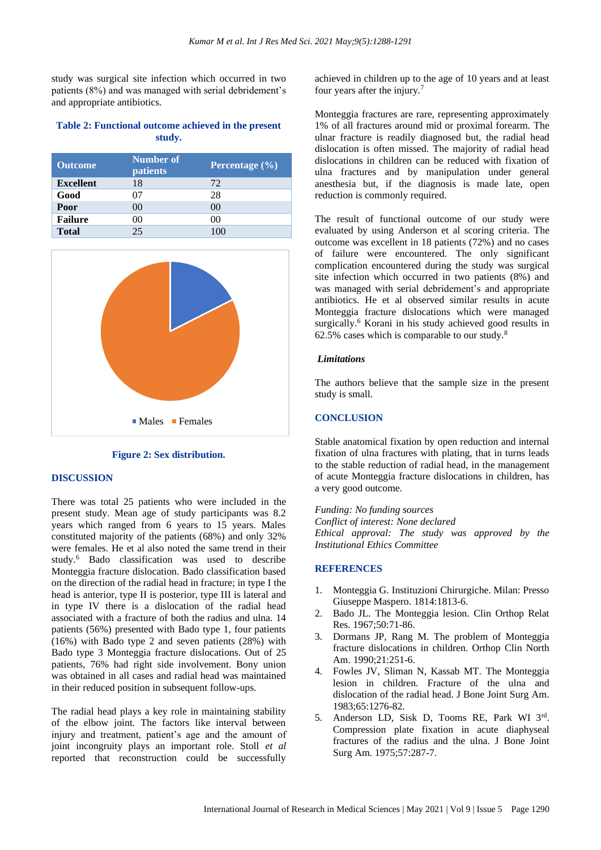study was surgical site infection which occurred in two patients (8%) and was managed with serial debridement's and appropriate antibiotics.

## **Table 2: Functional outcome achieved in the present study.**

| <b>Outcome</b>   | <b>Number of</b><br>patients | Percentage $(\% )$ |
|------------------|------------------------------|--------------------|
| <b>Excellent</b> | 18                           | 72                 |
| Good             | 07                           | 28                 |
| Poor             | 00                           | $($ i $()$         |
| <b>Failure</b>   | 00                           |                    |
| <b>Total</b>     | 25                           | 100                |



#### **Figure 2: Sex distribution.**

#### **DISCUSSION**

There was total 25 patients who were included in the present study. Mean age of study participants was 8.2 years which ranged from 6 years to 15 years. Males constituted majority of the patients (68%) and only 32% were females. He et al also noted the same trend in their study.<sup>6</sup> Bado classification was used to describe Monteggia fracture dislocation. Bado classification based on the direction of the radial head in fracture; in type I the head is anterior, type II is posterior, type III is lateral and in type IV there is a dislocation of the radial head associated with a fracture of both the radius and ulna. 14 patients (56%) presented with Bado type 1, four patients (16%) with Bado type 2 and seven patients (28%) with Bado type 3 Monteggia fracture dislocations. Out of 25 patients, 76% had right side involvement. Bony union was obtained in all cases and radial head was maintained in their reduced position in subsequent follow-ups.

The radial head plays a key role in maintaining stability of the elbow joint. The factors like interval between injury and treatment, patient's age and the amount of joint incongruity plays an important role. Stoll *et al* reported that reconstruction could be successfully achieved in children up to the age of 10 years and at least four years after the injury.<sup>7</sup>

Monteggia fractures are rare, representing approximately 1% of all fractures around mid or proximal forearm. The ulnar fracture is readily diagnosed but, the radial head dislocation is often missed. The majority of radial head dislocations in children can be reduced with fixation of ulna fractures and by manipulation under general anesthesia but, if the diagnosis is made late, open reduction is commonly required.

The result of functional outcome of our study were evaluated by using Anderson et al scoring criteria. The outcome was excellent in 18 patients (72%) and no cases of failure were encountered. The only significant complication encountered during the study was surgical site infection which occurred in two patients (8%) and was managed with serial debridement's and appropriate antibiotics. He et al observed similar results in acute Monteggia fracture dislocations which were managed surgically.<sup>6</sup> Korani in his study achieved good results in 62.5% cases which is comparable to our study. $8$ 

### *Limitations*

The authors believe that the sample size in the present study is small.

## **CONCLUSION**

Stable anatomical fixation by open reduction and internal fixation of ulna fractures with plating, that in turns leads to the stable reduction of radial head, in the management of acute Monteggia fracture dislocations in children, has a very good outcome.

*Funding: No funding sources Conflict of interest: None declared Ethical approval: The study was approved by the Institutional Ethics Committee*

#### **REFERENCES**

- 1. Monteggia G. Instituzioni Chirurgiche. Milan: Presso Giuseppe Maspero. 1814:1813-6.
- 2. Bado JL. The Monteggia lesion. Clin Orthop Relat Res. 1967;50:71-86.
- 3. Dormans JP, Rang M. The problem of Monteggia fracture dislocations in children. Orthop Clin North Am. 1990;21:251-6.
- 4. Fowles JV, Sliman N, Kassab MT. The Monteggia lesion in children. Fracture of the ulna and dislocation of the radial head. J Bone Joint Surg Am. 1983;65:1276-82.
- 5. Anderson LD, Sisk D, Tooms RE, Park WI 3rd. Compression plate fixation in acute diaphyseal fractures of the radius and the ulna. J Bone Joint Surg Am. 1975;57:287-7.